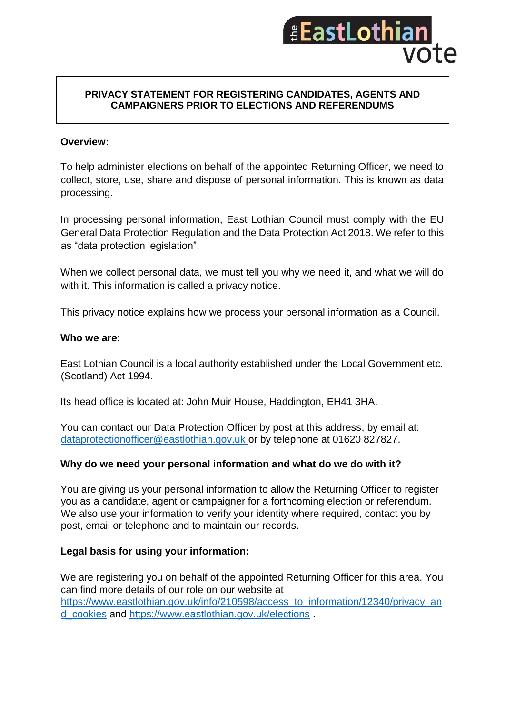

#### **PRIVACY STATEMENT FOR REGISTERING CANDIDATES, AGENTS AND CAMPAIGNERS PRIOR TO ELECTIONS AND REFERENDUMS**

## **Overview:**

To help administer elections on behalf of the appointed Returning Officer, we need to collect, store, use, share and dispose of personal information. This is known as data processing.

In processing personal information, East Lothian Council must comply with the EU General Data Protection Regulation and the Data Protection Act 2018. We refer to this as "data protection legislation".

When we collect personal data, we must tell you why we need it, and what we will do with it. This information is called a privacy notice.

This privacy notice explains how we process your personal information as a Council.

#### **Who we are:**

East Lothian Council is a local authority established under the Local Government etc. (Scotland) Act 1994.

Its head office is located at: John Muir House, Haddington, EH41 3HA.

You can contact our Data Protection Officer by post at this address, by email at: [dataprotectionofficer@eastlothian.gov.uk](mailto:dataprotectionofficer@eastlothian.gov.uk) or by telephone at 01620 827827.

### **Why do we need your personal information and what do we do with it?**

You are giving us your personal information to allow the Returning Officer to register you as a candidate, agent or campaigner for a forthcoming election or referendum. We also use your information to verify your identity where required, contact you by post, email or telephone and to maintain our records.

### **Legal basis for using your information:**

We are registering you on behalf of the appointed Returning Officer for this area. You can find more details of our role on our website at [https://www.eastlothian.gov.uk/info/210598/access\\_to\\_information/12340/privacy\\_an](https://www.eastlothian.gov.uk/info/210598/access_to_information/12340/privacy_and_cookies) [d\\_cookies](https://www.eastlothian.gov.uk/info/210598/access_to_information/12340/privacy_and_cookies) and<https://www.eastlothian.gov.uk/elections> .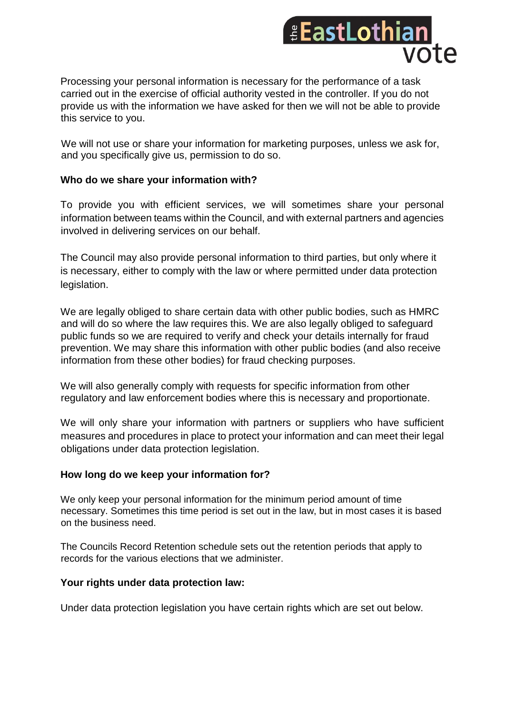

Processing your personal information is necessary for the performance of a task carried out in the exercise of official authority vested in the controller. If you do not provide us with the information we have asked for then we will not be able to provide this service to you.

We will not use or share your information for marketing purposes, unless we ask for, and you specifically give us, permission to do so.

### **Who do we share your information with?**

To provide you with efficient services, we will sometimes share your personal information between teams within the Council, and with external partners and agencies involved in delivering services on our behalf.

The Council may also provide personal information to third parties, but only where it is necessary, either to comply with the law or where permitted under data protection legislation.

We are legally obliged to share certain data with other public bodies, such as HMRC and will do so where the law requires this. We are also legally obliged to safeguard public funds so we are required to verify and check your details internally for fraud prevention. We may share this information with other public bodies (and also receive information from these other bodies) for fraud checking purposes.

We will also generally comply with requests for specific information from other regulatory and law enforcement bodies where this is necessary and proportionate.

We will only share your information with partners or suppliers who have sufficient measures and procedures in place to protect your information and can meet their legal obligations under data protection legislation.

# **How long do we keep your information for?**

We only keep your personal information for the minimum period amount of time necessary. Sometimes this time period is set out in the law, but in most cases it is based on the business need.

The Councils Record Retention schedule sets out the retention periods that apply to records for the various elections that we administer.

### **Your rights under data protection law:**

Under data protection legislation you have certain rights which are set out below.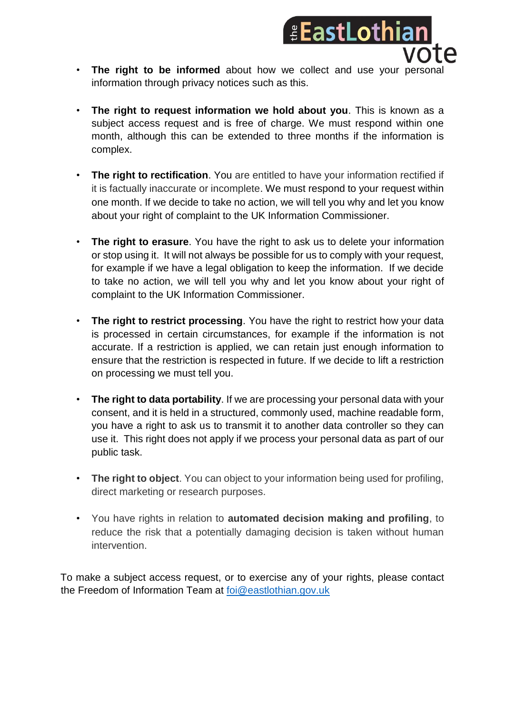

- **The right to be informed** about how we collect and use your personal information through privacy notices such as this.
- **The right to request information we hold about you**. This is known as a subject access request and is free of charge. We must respond within one month, although this can be extended to three months if the information is complex.
- **The right to rectification**. You are entitled to have your information rectified if it is factually inaccurate or incomplete. We must respond to your request within one month. If we decide to take no action, we will tell you why and let you know about your right of complaint to the UK Information Commissioner.
- **The right to erasure**. You have the right to ask us to delete your information or stop using it. It will not always be possible for us to comply with your request, for example if we have a legal obligation to keep the information. If we decide to take no action, we will tell you why and let you know about your right of complaint to the UK Information Commissioner.
- **The right to restrict processing**. You have the right to restrict how your data is processed in certain circumstances, for example if the information is not accurate. If a restriction is applied, we can retain just enough information to ensure that the restriction is respected in future. If we decide to lift a restriction on processing we must tell you.
- **The right to data portability**. If we are processing your personal data with your consent, and it is held in a structured, commonly used, machine readable form, you have a right to ask us to transmit it to another data controller so they can use it. This right does not apply if we process your personal data as part of our public task.
- **The right to object**. You can object to your information being used for profiling, direct marketing or research purposes.
- You have rights in relation to **automated decision making and profiling**, to reduce the risk that a potentially damaging decision is taken without human intervention.

To make a subject access request, or to exercise any of your rights, please contact the Freedom of Information Team at [foi@eastlothian.gov.uk](mailto:foi@eastlothian.gov.uk)